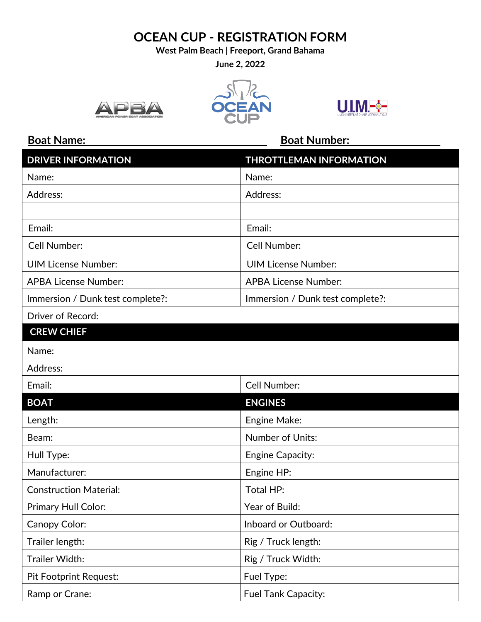**OCEAN CUP - REGISTRATION FORM**

**West Palm Beach | Freeport, Grand Bahama** 

**June 2, 2022** 







## **Boat Name: Boat Number: Boat Number: Boat Number:**

| <b>THROTTLEMAN INFORMATION</b><br><b>DRIVER INFORMATION</b> |                                  |  |
|-------------------------------------------------------------|----------------------------------|--|
| Name:                                                       | Name:                            |  |
| Address:                                                    | Address:                         |  |
|                                                             |                                  |  |
| Email:                                                      | Email:                           |  |
| <b>Cell Number:</b>                                         | <b>Cell Number:</b>              |  |
| <b>UIM License Number:</b>                                  | <b>UIM License Number:</b>       |  |
| <b>APBA License Number:</b>                                 | <b>APBA License Number:</b>      |  |
| Immersion / Dunk test complete?:                            | Immersion / Dunk test complete?: |  |
| Driver of Record:                                           |                                  |  |
| <b>CREW CHIEF</b>                                           |                                  |  |
| Name:                                                       |                                  |  |
| Address:                                                    |                                  |  |
| Email:                                                      | Cell Number:                     |  |
| <b>BOAT</b>                                                 | <b>ENGINES</b>                   |  |
| Length:                                                     | Engine Make:                     |  |
| Beam:                                                       | Number of Units:                 |  |
| Hull Type:                                                  | <b>Engine Capacity:</b>          |  |
| Manufacturer:                                               | Engine HP:                       |  |
| <b>Construction Material:</b>                               | Total HP:                        |  |
| <b>Primary Hull Color:</b>                                  | Year of Build:                   |  |
| Canopy Color:                                               | Inboard or Outboard:             |  |
| Trailer length:                                             | Rig / Truck length:              |  |
| Trailer Width:                                              | Rig / Truck Width:               |  |
| <b>Pit Footprint Request:</b>                               | Fuel Type:                       |  |
| Ramp or Crane:                                              | Fuel Tank Capacity:              |  |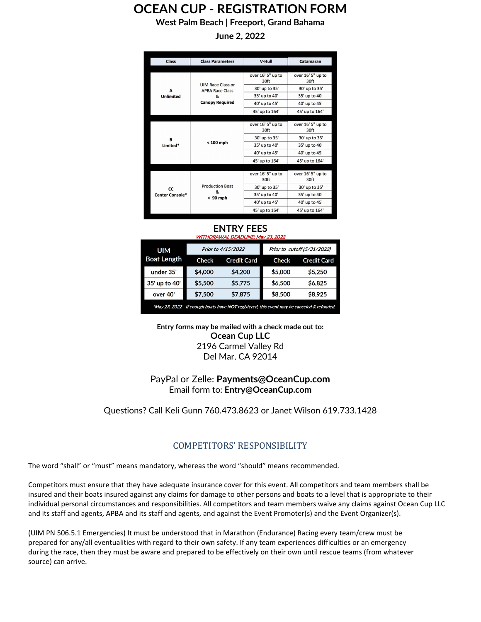## **OCEAN CUP - REGISTRATION FORM**

**West Palm Beach | Freeport, Grand Bahama** 

**June 2, 2022** 

| <b>Class</b>          | <b>Class Parameters</b>                                                           | <b>V-Hull</b>                         | Catamaran                             |
|-----------------------|-----------------------------------------------------------------------------------|---------------------------------------|---------------------------------------|
|                       |                                                                                   |                                       |                                       |
| A<br><b>Unlimited</b> | <b>UIM Race Class or</b><br><b>APBA Race Class</b><br>&<br><b>Canopy Required</b> | over 16' 5" up to<br>30ft             | over 16' 5" up to<br>30ft             |
|                       |                                                                                   | 30' up to 35'                         | 30' up to 35'                         |
|                       |                                                                                   | 35' up to 40'                         | 35' up to 40'                         |
|                       |                                                                                   | 40' up to 45'                         | 40' up to 45'                         |
|                       |                                                                                   | 45' up to 164'                        | 45' up to 164'                        |
|                       |                                                                                   |                                       |                                       |
| в<br>Limited*         | $< 100$ mph                                                                       | over 16' 5" up to<br>30 <sup>ft</sup> | over 16' 5" up to<br>30 <sup>ft</sup> |
|                       |                                                                                   | 30' up to 35'                         | 30' up to 35'                         |
|                       |                                                                                   | 35' up to 40'                         | 35' up to 40'                         |
|                       |                                                                                   | 40' up to 45'                         | 40' up to 45'                         |
|                       |                                                                                   | 45' up to 164'                        | 45' up to 164'                        |
|                       |                                                                                   |                                       |                                       |
| CC<br>Center Console* | <b>Production Boat</b><br>&<br>$< 90$ mph                                         | over 16' 5" up to<br>30ft             | over 16' 5" up to<br>30ft             |
|                       |                                                                                   | 30' up to 35'                         | 30' up to 35'                         |
|                       |                                                                                   | 35' up to 40'                         | 35' up to 40'                         |
|                       |                                                                                   | 40' up to 45'                         | 40' up to 45'                         |
|                       |                                                                                   | 45' up to 164'                        | 45' up to 164'                        |

#### **ENTRY FEES** WITHDRAWAL DEADLINE: May 23, 2022

| <b>UIM</b>                                                                                 | Prior to 4/15/2022 |                    | Prior to cutoff (5/31/2022) |                    |  |
|--------------------------------------------------------------------------------------------|--------------------|--------------------|-----------------------------|--------------------|--|
| <b>Boat Length</b>                                                                         | Check              | <b>Credit Card</b> | Check                       | <b>Credit Card</b> |  |
| under 35'                                                                                  | \$4,000            | \$4,200            | \$5,000                     | \$5,250            |  |
| 35' up to 40'                                                                              | \$5,500            | \$5,775            | \$6,500                     | \$6,825            |  |
| over 40'                                                                                   | \$7,500            | \$7,875            | \$8,500                     | \$8,925            |  |
| *May 23, 2022 - If enough hoats have NOT registered, this event may be canceled & refunded |                    |                    |                             |                    |  |

**Entry forms may be mailed with a check made out to: Ocean Cup LLC** 2196 Carmel Valley Rd Del Mar, CA 92014

### PayPal or Zelle: **Payments@OceanCup.com** Email form to: **[Entry@OceanCup.com](mailto:Entry@OceanCup.com)**

Questions? Call Keli Gunn 760.473.8623 or Janet Wilson 619.733.1428

## COMPETITORS' RESPONSIBILITY

The word "shall" or "must" means mandatory, whereas the word "should" means recommended.

Competitors must ensure that they have adequate insurance cover for this event. All competitors and team members shall be insured and their boats insured against any claims for damage to other persons and boats to a level that is appropriate to their individual personal circumstances and responsibilities. All competitors and team members waive any claims against Ocean Cup LLC and its staff and agents, APBA and its staff and agents, and against the Event Promoter(s) and the Event Organizer(s).

(UIM PN 506.5.1 Emergencies) It must be understood that in Marathon (Endurance) Racing every team/crew must be prepared for any/all eventualities with regard to their own safety. If any team experiences difficulties or an emergency during the race, then they must be aware and prepared to be effectively on their own until rescue teams (from whatever source) can arrive.